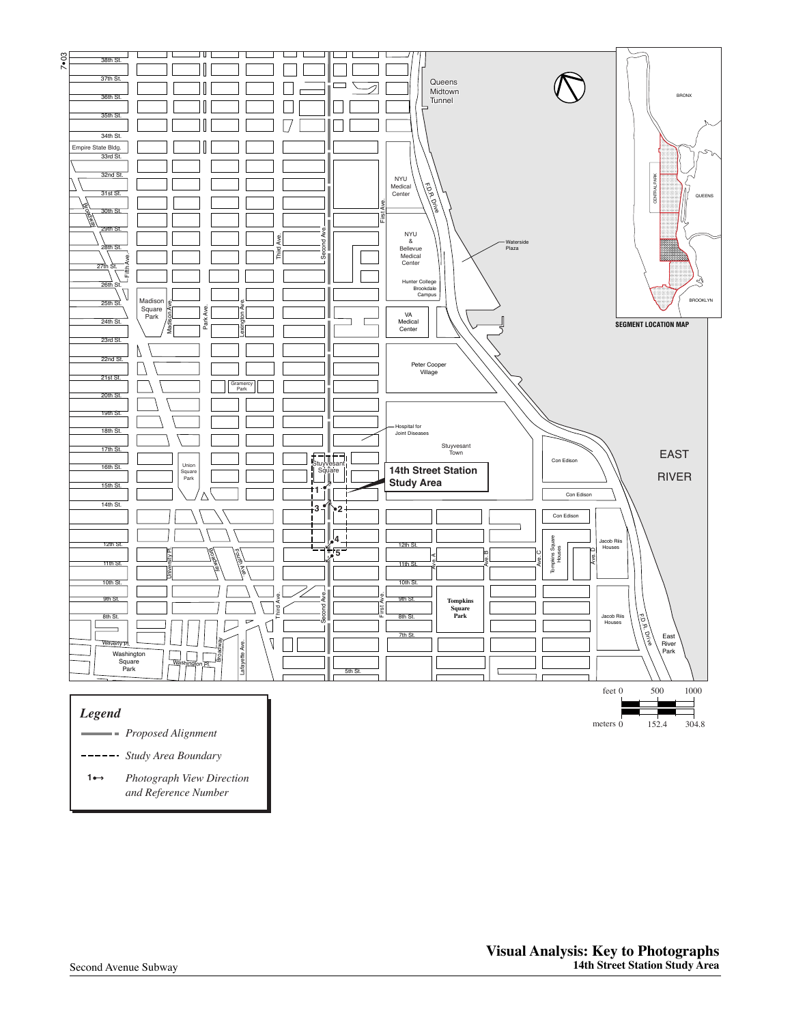

*Study Area Boundary*

*Photograph View Direction and Reference Number* **1**